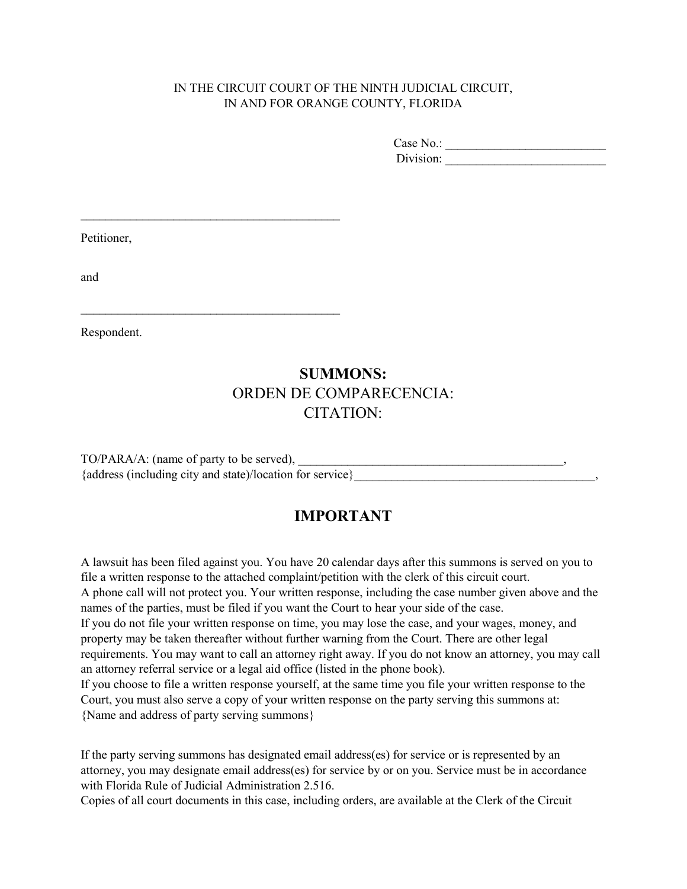#### IN THE CIRCUIT COURT OF THE NINTH JUDICIAL CIRCUIT, IN AND FOR ORANGE COUNTY, FLORIDA

Case No.: \_\_\_\_\_\_\_\_\_\_\_\_\_\_\_\_\_\_\_\_\_\_\_\_\_\_ Division: \_\_\_\_\_\_\_\_\_\_\_\_\_\_\_\_\_\_\_\_\_\_\_\_\_\_

Petitioner,

\_\_\_\_\_\_\_\_\_\_\_\_\_\_\_\_\_\_\_\_\_\_\_\_\_\_\_\_\_\_\_\_\_\_\_\_\_\_\_\_\_\_

\_\_\_\_\_\_\_\_\_\_\_\_\_\_\_\_\_\_\_\_\_\_\_\_\_\_\_\_\_\_\_\_\_\_\_\_\_\_\_\_\_\_

and

Respondent.

# **SUMMONS:**  ORDEN DE COMPARECENCIA: CITATION:

TO/PARA/A: (name of party to be served), {address (including city and state)/location for service}\_\_\_\_\_\_\_\_\_\_\_\_\_\_\_\_\_\_\_\_\_\_\_\_\_\_\_\_\_\_\_\_\_\_\_\_\_\_\_,

## **IMPORTANT**

 A lawsuit has been filed against you. You have 20 calendar days after this summons is served on you to file a written response to the attached complaint/petition with the clerk of this circuit court. names of the parties, must be filed if you want the Court to hear your side of the case. A phone call will not protect you. Your written response, including the case number given above and the If you do not file your written response on time, you may lose the case, and your wages, money, and property may be taken thereafter without further warning from the Court. There are other legal requirements. You may want to call an attorney right away. If you do not know an attorney, you may call an attorney referral service or a legal aid office (listed in the phone book). If you choose to file a written response yourself, at the same time you file your written response to the Court, you must also serve a copy of your written response on the party serving this summons at:

{Name and address of party serving summons}

If the party serving summons has designated email address(es) for service or is represented by an attorney, you may designate email address(es) for service by or on you. Service must be in accordance with Florida Rule of Judicial Administration 2.516.

Copies of all court documents in this case, including orders, are available at the Clerk of the Circuit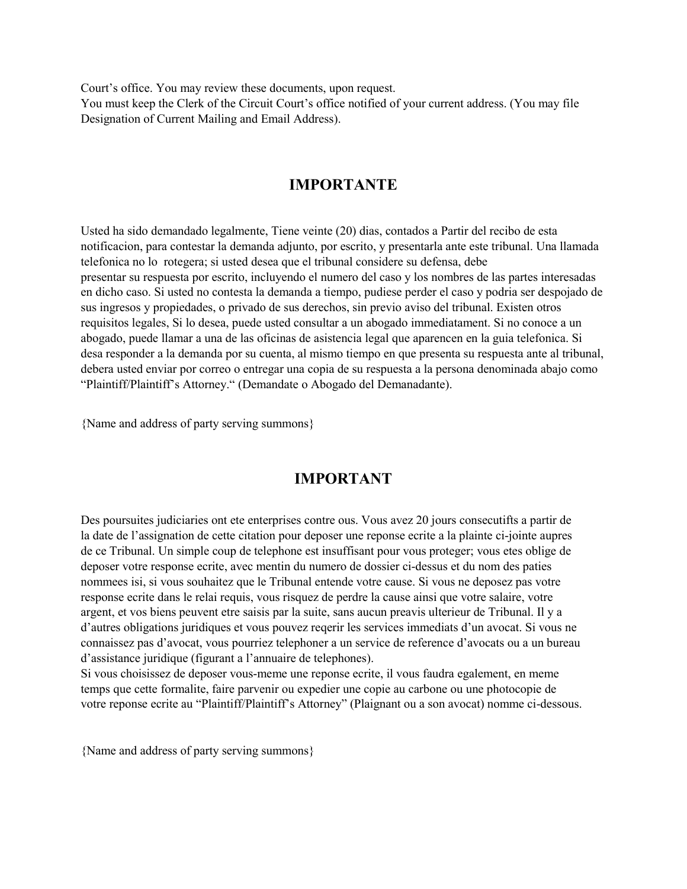Court's office. You may review these documents, upon request.

You must keep the Clerk of the Circuit Court's office notified of your current address. (You may file Designation of Current Mailing and Email Address).

### **IMPORTANTE**

Usted ha sido demandado legalmente, Tiene veinte (20) dias, contados a Partir del recibo de esta notificacion, para contestar la demanda adjunto, por escrito, y presentarla ante este tribunal. Una llamada telefonica no lo rotegera; si usted desea que el tribunal considere su defensa, debe presentar su respuesta por escrito, incluyendo el numero del caso y los nombres de las partes interesadas en dicho caso. Si usted no contesta la demanda a tiempo, pudiese perder el caso y podria ser despojado de sus ingresos y propiedades, o privado de sus derechos, sin previo aviso del tribunal. Existen otros requisitos legales, Si lo desea, puede usted consultar a un abogado immediatament. Si no conoce a un abogado, puede llamar a una de las oficinas de asistencia legal que aparencen en la guia telefonica. Si desa responder a la demanda por su cuenta, al mismo tiempo en que presenta su respuesta ante al tribunal, debera usted enviar por correo o entregar una copia de su respuesta a la persona denominada abajo como "Plaintiff/Plaintiff's Attorney." (Demandate o Abogado del Demanadante).

{Name and address of party serving summons}

## **IMPORTANT**

Des poursuites judiciaries ont ete enterprises contre ous. Vous avez 20 jours consecutifts a partir de la date de l'assignation de cette citation pour deposer une reponse ecrite a la plainte ci-jointe aupres de ce Tribunal. Un simple coup de telephone est insuffisant pour vous proteger; vous etes oblige de deposer votre response ecrite, avec mentin du numero de dossier ci-dessus et du nom des paties nommees isi, si vous souhaitez que le Tribunal entende votre cause. Si vous ne deposez pas votre response ecrite dans le relai requis, vous risquez de perdre la cause ainsi que votre salaire, votre argent, et vos biens peuvent etre saisis par la suite, sans aucun preavis ulterieur de Tribunal. Il y a d'autres obligations juridiques et vous pouvez reqerir les services immediats d'un avocat. Si vous ne connaissez pas d'avocat, vous pourriez telephoner a un service de reference d'avocats ou a un bureau d'assistance juridique (figurant a l'annuaire de telephones).

Si vous choisissez de deposer vous-meme une reponse ecrite, il vous faudra egalement, en meme temps que cette formalite, faire parvenir ou expedier une copie au carbone ou une photocopie de votre reponse ecrite au "Plaintiff/Plaintiff's Attorney" (Plaignant ou a son avocat) nomme ci-dessous.

{Name and address of party serving summons}